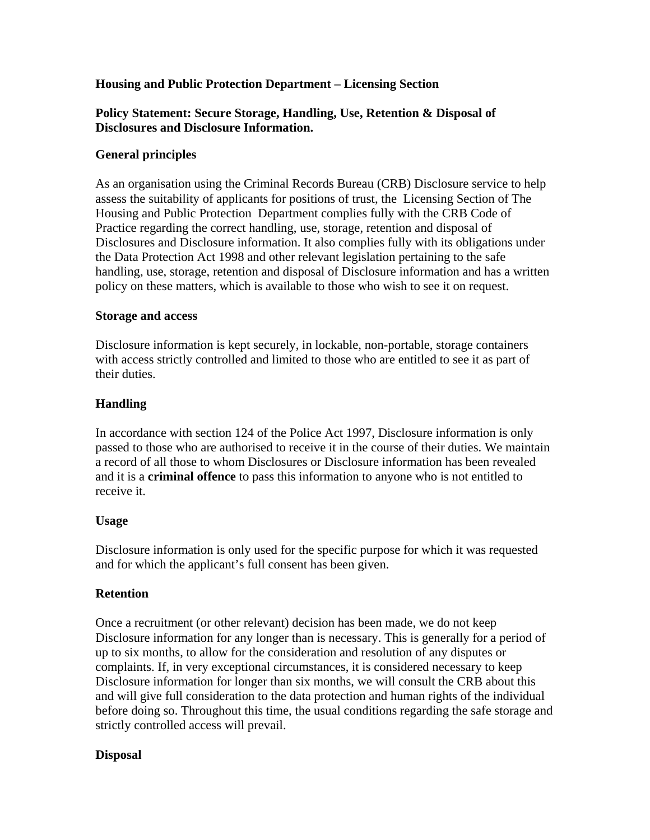## **Housing and Public Protection Department – Licensing Section**

## **Policy Statement: Secure Storage, Handling, Use, Retention & Disposal of Disclosures and Disclosure Information.**

# **General principles**

As an organisation using the Criminal Records Bureau (CRB) Disclosure service to help assess the suitability of applicants for positions of trust, the Licensing Section of The Housing and Public Protection Department complies fully with the CRB Code of Practice regarding the correct handling, use, storage, retention and disposal of Disclosures and Disclosure information. It also complies fully with its obligations under the Data Protection Act 1998 and other relevant legislation pertaining to the safe handling, use, storage, retention and disposal of Disclosure information and has a written policy on these matters, which is available to those who wish to see it on request.

### **Storage and access**

Disclosure information is kept securely, in lockable, non-portable, storage containers with access strictly controlled and limited to those who are entitled to see it as part of their duties.

## **Handling**

In accordance with section 124 of the Police Act 1997, Disclosure information is only passed to those who are authorised to receive it in the course of their duties. We maintain a record of all those to whom Disclosures or Disclosure information has been revealed and it is a **criminal offence** to pass this information to anyone who is not entitled to receive it.

## **Usage**

Disclosure information is only used for the specific purpose for which it was requested and for which the applicant's full consent has been given.

## **Retention**

Once a recruitment (or other relevant) decision has been made, we do not keep Disclosure information for any longer than is necessary. This is generally for a period of up to six months, to allow for the consideration and resolution of any disputes or complaints. If, in very exceptional circumstances, it is considered necessary to keep Disclosure information for longer than six months, we will consult the CRB about this and will give full consideration to the data protection and human rights of the individual before doing so. Throughout this time, the usual conditions regarding the safe storage and strictly controlled access will prevail.

## **Disposal**